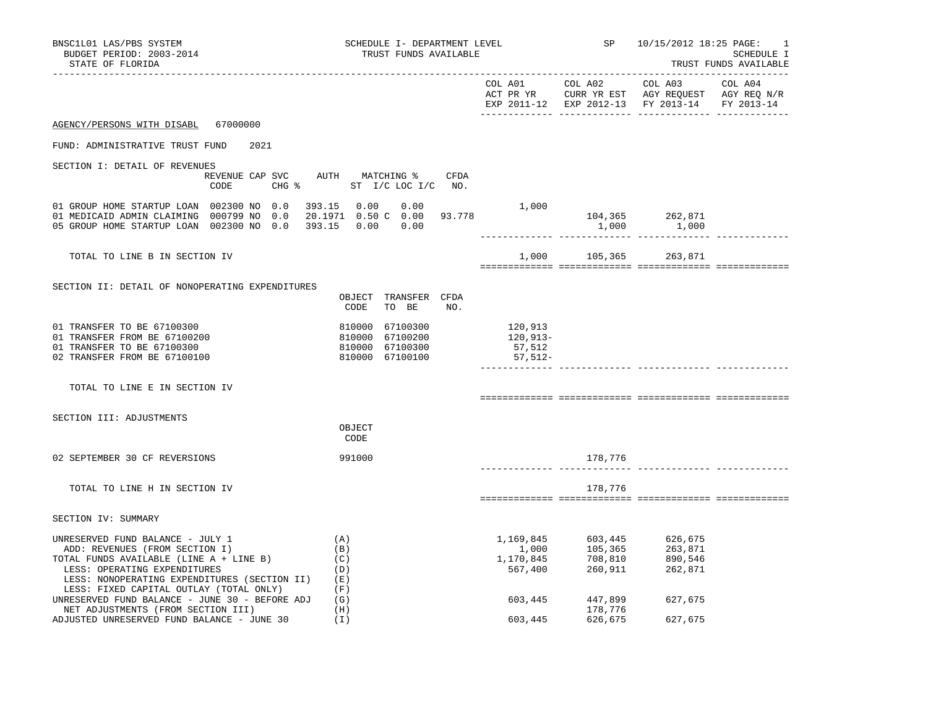| BNSC1L01 LAS/PBS SYSTEM<br>BUDGET PERIOD: 2003-2014<br>STATE OF FLORIDA                                                                                                                                                                  | SCHEDULE I- DEPARTMENT LEVEL<br>TRUST FUNDS AVAILABLE                    | <b>SP</b> SP                                                                           | 10/15/2012 18:25 PAGE:<br>1<br>SCHEDULE I<br>TRUST FUNDS AVAILABLE                                                                 |
|------------------------------------------------------------------------------------------------------------------------------------------------------------------------------------------------------------------------------------------|--------------------------------------------------------------------------|----------------------------------------------------------------------------------------|------------------------------------------------------------------------------------------------------------------------------------|
|                                                                                                                                                                                                                                          |                                                                          | COL A01 COL A02 COL A03                                                                | COL A04<br>ACT PR YR $\,$ CURR YR EST $\,$ AGY REQUEST $\,$ AGY REQ $\,$ N/R $\,$<br>EXP 2011-12 EXP 2012-13 FY 2013-14 FY 2013-14 |
| AGENCY/PERSONS WITH DISABL 67000000                                                                                                                                                                                                      |                                                                          |                                                                                        |                                                                                                                                    |
| FUND: ADMINISTRATIVE TRUST FUND<br>2021                                                                                                                                                                                                  |                                                                          |                                                                                        |                                                                                                                                    |
| SECTION I: DETAIL OF REVENUES<br>CODE                                                                                                                                                                                                    | REVENUE CAP SVC AUTH MATCHING %<br>CFDA<br>CHG % ST I/C LOC I/C NO.      |                                                                                        |                                                                                                                                    |
| 01 GROUP HOME STARTUP LOAN 002300 NO 0.0<br>01 MEDICAID ADMIN CLAIMING 000799 NO 0.0<br>05 GROUP HOME STARTUP LOAN 002300 NO 0.0 393.15 0.00 0.00                                                                                        | 393.15  0.00  0.00<br>$1,000$<br>3.778<br>20.1971  0.50  C  0.00  93.778 | 104,365 262,871<br>1,000                                                               | 1,000                                                                                                                              |
| TOTAL TO LINE B IN SECTION IV                                                                                                                                                                                                            |                                                                          | 1,000 105,365                                                                          | 263,871                                                                                                                            |
| SECTION II: DETAIL OF NONOPERATING EXPENDITURES                                                                                                                                                                                          | OBJECT TRANSFER CFDA<br>CODE<br>TO BE<br>NO.                             |                                                                                        |                                                                                                                                    |
| 01 TRANSFER TO BE 67100300<br>01 TRANSFER FROM BE 67100200<br>01 TRANSFER TO BE 67100300<br>02 TRANSFER FROM BE 67100100                                                                                                                 | 810000 67100300<br>810000 67100200<br>810000 67100300<br>810000 67100100 | 120,913<br>120,913-<br>57,512<br>57,512-                                               |                                                                                                                                    |
| TOTAL TO LINE E IN SECTION IV                                                                                                                                                                                                            |                                                                          |                                                                                        |                                                                                                                                    |
| SECTION III: ADJUSTMENTS                                                                                                                                                                                                                 | OBJECT<br>CODE                                                           |                                                                                        |                                                                                                                                    |
| 02 SEPTEMBER 30 CF REVERSIONS                                                                                                                                                                                                            | 991000                                                                   | 178,776                                                                                |                                                                                                                                    |
| TOTAL TO LINE H IN SECTION IV                                                                                                                                                                                                            |                                                                          | 178,776                                                                                |                                                                                                                                    |
| SECTION IV: SUMMARY                                                                                                                                                                                                                      |                                                                          |                                                                                        |                                                                                                                                    |
| UNRESERVED FUND BALANCE - JULY 1<br>ADD: REVENUES (FROM SECTION I)<br>TOTAL FUNDS AVAILABLE (LINE A + LINE B)<br>LESS: OPERATING EXPENDITURES<br>LESS: NONOPERATING EXPENDITURES (SECTION II)<br>LESS: FIXED CAPITAL OUTLAY (TOTAL ONLY) | (A)<br>(B)<br>(C)<br>(D)<br>( E )<br>(F)                                 | 603,445<br>105,365<br>708,810<br>1,169,845<br>1,000<br>1,170,845<br>567,400<br>260,911 | 626,675<br>263,871<br>890,546<br>262,871                                                                                           |
| UNRESERVED FUND BALANCE - JUNE 30 - BEFORE ADJ<br>NET ADJUSTMENTS (FROM SECTION III)                                                                                                                                                     | (G)<br>(H)                                                               | 603,445<br>447,899<br>178,776                                                          | 627,675                                                                                                                            |
| ADJUSTED UNRESERVED FUND BALANCE - JUNE 30                                                                                                                                                                                               | (I)                                                                      | 603,445<br>626,675                                                                     | 627,675                                                                                                                            |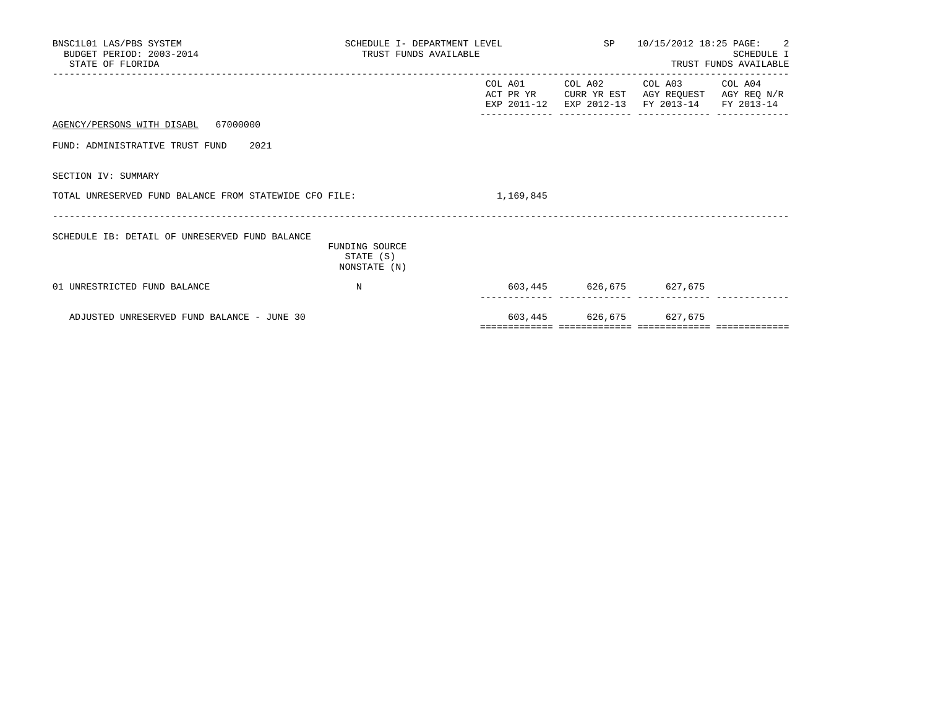| BNSC1L01 LAS/PBS SYSTEM<br>BUDGET PERIOD: 2003-2014<br>STATE OF FLORIDA | TRUST FUNDS AVAILABLE                       | SCHEDULE I- DEPARTMENT LEVEL $SP$ 10/15/2012 18:25 PAGE: 2 |                                                                                                                                   | SCHEDULE I<br>TRUST FUNDS AVAILABLE |
|-------------------------------------------------------------------------|---------------------------------------------|------------------------------------------------------------|-----------------------------------------------------------------------------------------------------------------------------------|-------------------------------------|
|                                                                         |                                             |                                                            | COL A01 COL A02 COL A03 COL A04<br>ACT PR YR CURR YR EST AGY REQUEST AGY REQ N/R<br>EXP 2011-12 EXP 2012-13 FY 2013-14 FY 2013-14 |                                     |
| AGENCY/PERSONS WITH DISABL 67000000                                     |                                             |                                                            |                                                                                                                                   |                                     |
| FUND: ADMINISTRATIVE TRUST FUND 2021                                    |                                             |                                                            |                                                                                                                                   |                                     |
| SECTION IV: SUMMARY                                                     |                                             |                                                            |                                                                                                                                   |                                     |
| TOTAL UNRESERVED FUND BALANCE FROM STATEWIDE CFO FILE:                  |                                             | 1,169,845                                                  |                                                                                                                                   |                                     |
| SCHEDULE IB: DETAIL OF UNRESERVED FUND BALANCE                          | FUNDING SOURCE<br>STATE (S)<br>NONSTATE (N) |                                                            |                                                                                                                                   |                                     |
| 01 UNRESTRICTED FUND BALANCE                                            | $_{\rm N}$                                  |                                                            | 603,445 626,675 627,675                                                                                                           |                                     |
| ADJUSTED UNRESERVED FUND BALANCE - JUNE 30                              |                                             |                                                            | 603,445 626,675 627,675                                                                                                           |                                     |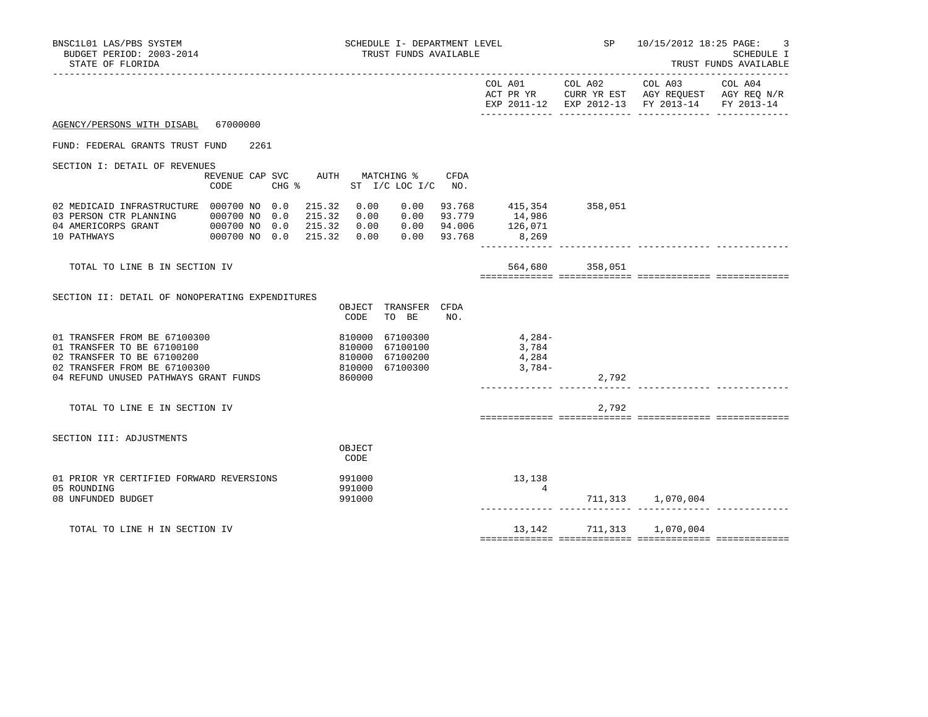| BNSC1L01 LAS/PBS SYSTEM<br>BUDGET PERIOD: 2003-2014<br>STATE OF FLORIDA                                                                                           |                                                        |                                                | SCHEDULE I- DEPARTMENT LEVEL<br>TRUST FUNDS AVAILABLE |               |                                                                                     | SP                           | 10/15/2012 18:25 PAGE:                        | 3<br>SCHEDULE I<br>TRUST FUNDS AVAILABLE |
|-------------------------------------------------------------------------------------------------------------------------------------------------------------------|--------------------------------------------------------|------------------------------------------------|-------------------------------------------------------|---------------|-------------------------------------------------------------------------------------|------------------------------|-----------------------------------------------|------------------------------------------|
|                                                                                                                                                                   |                                                        |                                                |                                                       |               |                                                                                     |                              | EXP 2011-12 EXP 2012-13 FY 2013-14 FY 2013-14 |                                          |
| AGENCY/PERSONS WITH DISABL 67000000                                                                                                                               |                                                        |                                                |                                                       |               |                                                                                     |                              |                                               |                                          |
| FUND: FEDERAL GRANTS TRUST FUND                                                                                                                                   | 2261                                                   |                                                |                                                       |               |                                                                                     |                              |                                               |                                          |
| SECTION I: DETAIL OF REVENUES                                                                                                                                     |                                                        |                                                |                                                       |               |                                                                                     |                              |                                               |                                          |
|                                                                                                                                                                   | REVENUE CAP SVC AUTH MATCHING %<br>CODE                | CHG % ST I/C LOC I/C NO.                       |                                                       | CFDA          |                                                                                     |                              |                                               |                                          |
| 02 MEDICAID INFRASTRUCTURE 000700 NO 0.0<br>03 PERSON CTR PLANNING 000700 NO 0.0<br>04 AMERICORPS GRANT<br>10 PATHWAYS                                            | 000700 NO 0.0 215.32 0.00 0.00 94.006<br>000700 NO 0.0 | 215.32<br>0.00<br>215.32<br>215.32 0.00        | $0.00$ $0.00$ $93.779$                                | $0.00$ 93.768 | $0.00$ $93.768$ $415,354$ $358,051$<br>$0.00$ $93.779$ $14,986$<br>126,071<br>8,269 |                              |                                               |                                          |
| TOTAL TO LINE B IN SECTION IV                                                                                                                                     |                                                        |                                                |                                                       |               |                                                                                     | 564,680 358,051              |                                               |                                          |
| SECTION II: DETAIL OF NONOPERATING EXPENDITURES                                                                                                                   |                                                        | CODE                                           | OBJECT TRANSFER CFDA<br>TO BE                         | NO.           |                                                                                     |                              |                                               |                                          |
| 01 TRANSFER FROM BE 67100300<br>01 TRANSFER TO BE 67100100<br>02 TRANSFER TO BE 67100200<br>02 TRANSFER FROM BE 67100300<br>04 REFUND UNUSED PATHWAYS GRANT FUNDS |                                                        | 810000<br>810000<br>810000<br>810000<br>860000 | 67100300<br>67100100<br>67100200<br>67100300          |               | $4,284-$<br>3,784<br>4,284<br>$3,784-$                                              | 2,792                        |                                               |                                          |
| TOTAL TO LINE E IN SECTION IV                                                                                                                                     |                                                        |                                                |                                                       |               |                                                                                     | 2,792                        |                                               |                                          |
| SECTION III: ADJUSTMENTS                                                                                                                                          |                                                        | OBJECT<br>CODE                                 |                                                       |               |                                                                                     |                              |                                               |                                          |
| 01 PRIOR YR CERTIFIED FORWARD REVERSIONS<br>05 ROUNDING<br>08 UNFUNDED BUDGET                                                                                     |                                                        | 991000<br>991000<br>991000                     |                                                       |               | 13,138<br>$\overline{4}$                                                            |                              | 711,313 1,070,004                             |                                          |
| TOTAL TO LINE H IN SECTION IV                                                                                                                                     |                                                        |                                                |                                                       |               |                                                                                     | 13, 142 711, 313 1, 070, 004 |                                               |                                          |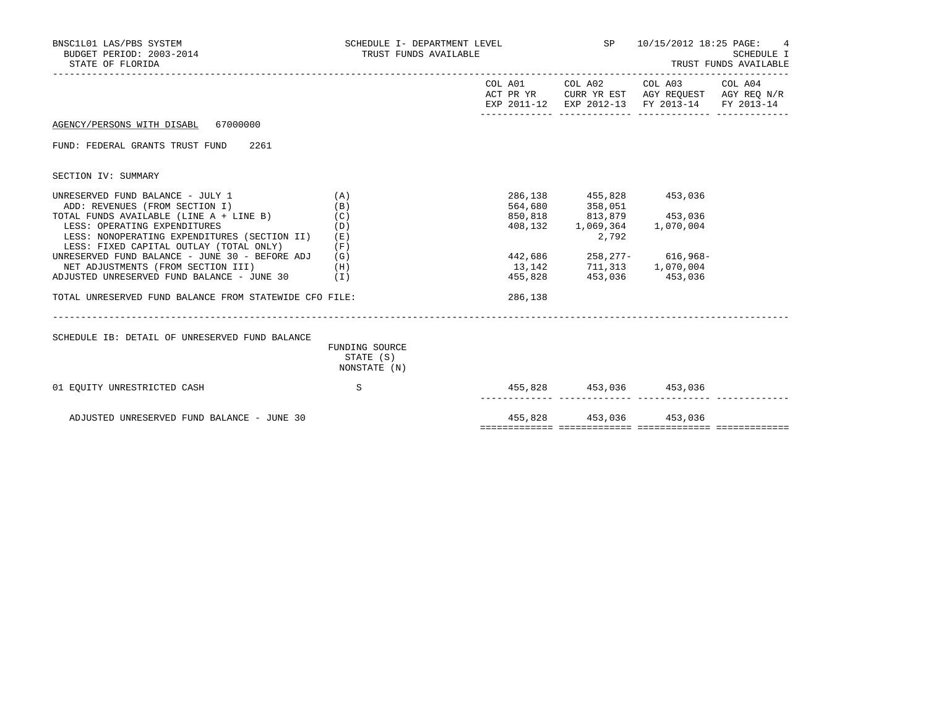| BNSC1L01 LAS/PBS SYSTEM<br>BUDGET PERIOD: 2003-2014<br>STATE OF FLORIDA                                                 | SCHEDULE I- DEPARTMENT LEVEL<br>TRUST FUNDS AVAILABLE |         |                                                                                                                                    | SP 10/15/2012 18:25 PAGE: 4                                                                                                       | SCHEDULE I<br>TRUST FUNDS AVAILABLE |
|-------------------------------------------------------------------------------------------------------------------------|-------------------------------------------------------|---------|------------------------------------------------------------------------------------------------------------------------------------|-----------------------------------------------------------------------------------------------------------------------------------|-------------------------------------|
|                                                                                                                         |                                                       |         |                                                                                                                                    | COL A01 COL A02 COL A03 COL A04<br>ACT PR YR CURR YR EST AGY REQUEST AGY REQ N/R<br>EXP 2011-12 EXP 2012-13 FY 2013-14 FY 2013-14 |                                     |
| AGENCY/PERSONS WITH DISABL 67000000                                                                                     |                                                       |         |                                                                                                                                    |                                                                                                                                   |                                     |
| FUND: FEDERAL GRANTS TRUST FUND 2261                                                                                    |                                                       |         |                                                                                                                                    |                                                                                                                                   |                                     |
| SECTION IV: SUMMARY                                                                                                     |                                                       |         |                                                                                                                                    |                                                                                                                                   |                                     |
| UNRESERVED FUND BALANCE - JULY 1<br>ADD: REVENUES (FROM SECTION I)                                                      | (A)<br>(B)                                            |         | 286,138 455,828 453,036                                                                                                            |                                                                                                                                   |                                     |
| TOTAL FUNDS AVAILABLE (LINE A + LINE B)                                                                                 | (C)                                                   |         | $\begin{array}{lllll} 564, 680 & 358, 051 & \\ 850, 818 & 813, 879 & 453, 036 \\ 408, 132 & 1, 069, 364 & 1, 070, 004 \end{array}$ |                                                                                                                                   |                                     |
| LESS: OPERATING EXPENDITURES<br>LESS: NONOPERATING EXPENDITURES (SECTION II)<br>LESS: FIXED CAPITAL OUTLAY (TOTAL ONLY) | (D)<br>(E)<br>(F)                                     |         | 2,792                                                                                                                              |                                                                                                                                   |                                     |
| UNRESERVED FUND BALANCE - JUNE 30 - BEFORE ADJ                                                                          | (G)                                                   |         |                                                                                                                                    | 442,686 258,277- 616,968-                                                                                                         |                                     |
| NET ADJUSTMENTS (FROM SECTION III)<br>ADJUSTED UNRESERVED FUND BALANCE - JUNE 30                                        | (H)<br>(1)                                            |         | 13, 142 711, 313 1, 070, 004<br>455,828 453,036 453,036                                                                            |                                                                                                                                   |                                     |
|                                                                                                                         |                                                       |         |                                                                                                                                    |                                                                                                                                   |                                     |
| TOTAL UNRESERVED FUND BALANCE FROM STATEWIDE CFO FILE:                                                                  |                                                       | 286,138 |                                                                                                                                    |                                                                                                                                   |                                     |
|                                                                                                                         |                                                       |         |                                                                                                                                    |                                                                                                                                   |                                     |
| SCHEDULE IB: DETAIL OF UNRESERVED FUND BALANCE                                                                          | FUNDING SOURCE<br>STATE (S)<br>NONSTATE (N)           |         |                                                                                                                                    |                                                                                                                                   |                                     |
| 01 EOUITY UNRESTRICTED CASH                                                                                             | S                                                     |         | 455,828 453,036 453,036                                                                                                            |                                                                                                                                   |                                     |
| ADJUSTED UNRESERVED FUND BALANCE - JUNE 30                                                                              |                                                       |         | 455,828 453,036 453,036                                                                                                            |                                                                                                                                   |                                     |

============= ============= ============= =============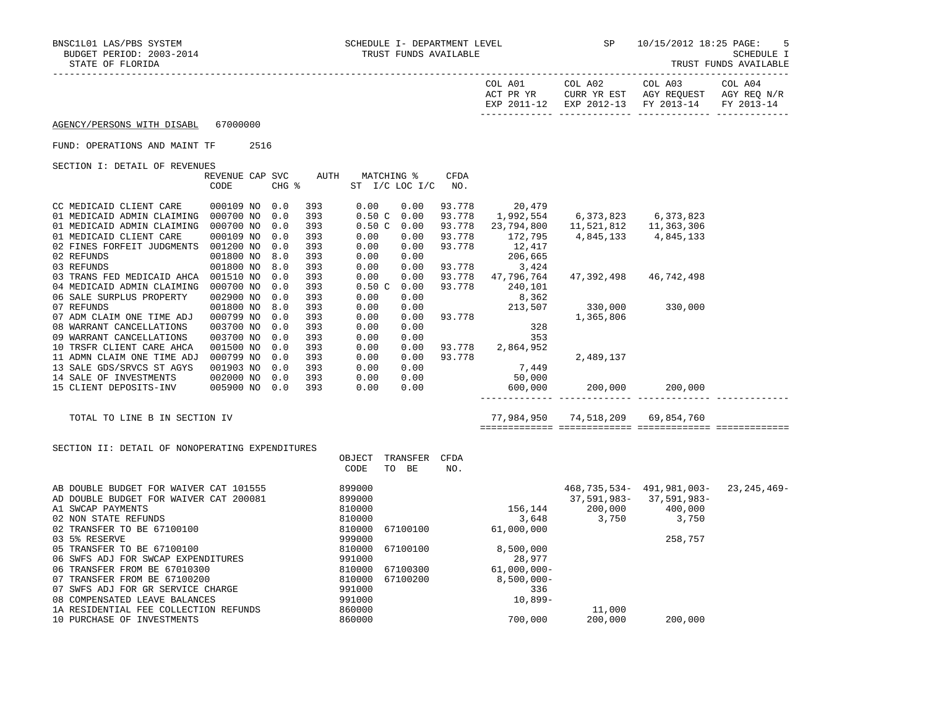TRUST FUNDS AVAILABLE

|                            |          | COL A01<br>ACT PR YR<br>EXP 2011-12 | COL A02<br>EXP 2012-13 FY 2013-14 | COL A03<br>CURR YR EST AGY REOUEST | COL A04<br>AGY REO N/R<br>FY 2013-14 |
|----------------------------|----------|-------------------------------------|-----------------------------------|------------------------------------|--------------------------------------|
|                            |          |                                     |                                   |                                    |                                      |
|                            |          |                                     |                                   |                                    |                                      |
| AGENCY/PERSONS WITH DISABL | 67000000 |                                     |                                   |                                    |                                      |

## FUND: OPERATIONS AND MAINT TF 2516

SECTION I: DETAIL OF REVENUES

|                            | REVENUE CAP | SVC   | AUTH | MATCHING %     |      | CFDA   |            |            |            |  |
|----------------------------|-------------|-------|------|----------------|------|--------|------------|------------|------------|--|
|                            | CODE        | CHG % |      | ST I/C LOC I/C |      | NO.    |            |            |            |  |
|                            |             |       |      |                |      |        |            |            |            |  |
| CC MEDICAID CLIENT CARE    | 000109 NO   | 0.0   | 393  | 0.00           | 0.00 | 93.778 | 20,479     |            |            |  |
| 01 MEDICAID ADMIN CLAIMING | 000700 NO   | 0.0   | 393  | 0.50C          | 0.00 | 93.778 | 1,992,554  | 6,373,823  | 6,373,823  |  |
| 01 MEDICAID ADMIN CLAIMING | 000700 NO   | 0.0   | 393  | 0.50C          | 0.00 | 93.778 | 23,794,800 | 11,521,812 | 11,363,306 |  |
| 01 MEDICAID CLIENT CARE    | 000109 NO   | 0.0   | 393  | 0.00           | 0.00 | 93.778 | 172,795    | 4,845,133  | 4,845,133  |  |
| 02 FINES FORFEIT JUDGMENTS | 001200 NO   | 0.0   | 393  | 0.00           | 0.00 | 93.778 | 12,417     |            |            |  |
| 02 REFUNDS                 | 001800 NO   | 8.0   | 393  | 0.00           | 0.00 |        | 206,665    |            |            |  |
| 03 REFUNDS                 | 001800 NO   | 8.0   | 393  | 0.00           | 0.00 | 93.778 | 3,424      |            |            |  |
| 03 TRANS FED MEDICAID AHCA | 001510 NO   | 0.0   | 393  | 0.00           | 0.00 | 93.778 | 47,796,764 | 47,392,498 | 46,742,498 |  |
| 04 MEDICAID ADMIN CLAIMING | 000700 NO   | 0.0   | 393  | 0.50C          | 0.00 | 93.778 | 240,101    |            |            |  |
| 06 SALE SURPLUS PROPERTY   | 002900 NO   | 0.0   | 393  | 0.00           | 0.00 |        | 8,362      |            |            |  |
| 07 REFUNDS                 | 001800 NO   | 8.0   | 393  | 0.00           | 0.00 |        | 213,507    | 330,000    | 330,000    |  |
| 07 ADM CLAIM ONE TIME ADJ  | 000799 NO   | 0.0   | 393  | 0.00           | 0.00 | 93.778 |            | 1,365,806  |            |  |
| 08 WARRANT CANCELLATIONS   | 003700 NO   | 0.0   | 393  | 0.00           | 0.00 |        | 328        |            |            |  |
| 09 WARRANT CANCELLATIONS   | 003700 NO   | 0.0   | 393  | 0.00           | 0.00 |        | 353        |            |            |  |
| 10 TRSFR CLIENT CARE AHCA  | 001500 NO   | 0.0   | 393  | 0.00           | 0.00 | 93.778 | 2,864,952  |            |            |  |
| 11 ADMN CLAIM ONE TIME ADJ | 000799 NO   | 0.0   | 393  | 0.00           | 0.00 | 93.778 |            | 2,489,137  |            |  |
| 13 SALE GDS/SRVCS ST AGYS  | 001903 NO   | 0.0   | 393  | 0.00           | 0.00 |        | 7,449      |            |            |  |
| 14 SALE OF INVESTMENTS     | 002000 NO   | 0.0   | 393  | 0.00           | 0.00 |        | 50,000     |            |            |  |
| 15 CLIENT DEPOSITS-INV     | 005900 NO   | 0.0   | 393  | 0.00           | 0.00 |        | 600,000    | 200,000    | 200,000    |  |
|                            |             |       |      |                |      |        |            |            |            |  |

TOTAL TO LINE B IN SECTION IV 77,984,950 74,518,209 69,854,760

============= ============= ============= =============

| SECTION II: DETAIL OF NONOPERATING EXPENDITURES |        |          |      |                |              |                             |             |
|-------------------------------------------------|--------|----------|------|----------------|--------------|-----------------------------|-------------|
|                                                 | OBJECT | TRANSFER | CFDA |                |              |                             |             |
|                                                 | CODE   | BE<br>TO | NO.  |                |              |                             |             |
| AB DOUBLE BUDGET FOR WAIVER CAT 101555          | 899000 |          |      |                | 468,735,534- | 491,981,003-                | 23,245,469- |
| AD DOUBLE BUDGET FOR WAIVER CAT 200081          | 899000 |          |      |                |              | $37,591,983 - 37,591,983 -$ |             |
| A1 SWCAP PAYMENTS                               | 810000 |          |      | 156,144        | 200,000      | 400,000                     |             |
| 02 NON STATE REFUNDS                            | 810000 |          |      | 3,648          | 3,750        | 3,750                       |             |
| 02 TRANSFER TO BE 67100100                      | 810000 | 67100100 |      | 61,000,000     |              |                             |             |
| 03 5% RESERVE                                   | 999000 |          |      |                |              | 258,757                     |             |
| 05 TRANSFER TO BE 67100100                      | 810000 | 67100100 |      | 8,500,000      |              |                             |             |
| 06 SWFS ADJ FOR SWCAP EXPENDITURES              | 991000 |          |      | 28,977         |              |                             |             |
| 06 TRANSFER FROM BE 67010300                    | 810000 | 67100300 |      | $61,000,000 -$ |              |                             |             |
| 07 TRANSFER FROM BE 67100200                    | 810000 | 67100200 |      | $8,500,000 -$  |              |                             |             |
| 07 SWFS ADJ FOR GR SERVICE CHARGE               | 991000 |          |      | 336            |              |                             |             |
| 08 COMPENSATED LEAVE BALANCES                   | 991000 |          |      | $10,899-$      |              |                             |             |
| 1A RESIDENTIAL FEE COLLECTION REFUNDS           | 860000 |          |      |                | 11,000       |                             |             |
| 10 PURCHASE OF INVESTMENTS                      | 860000 |          |      | 700,000        | 200,000      | 200,000                     |             |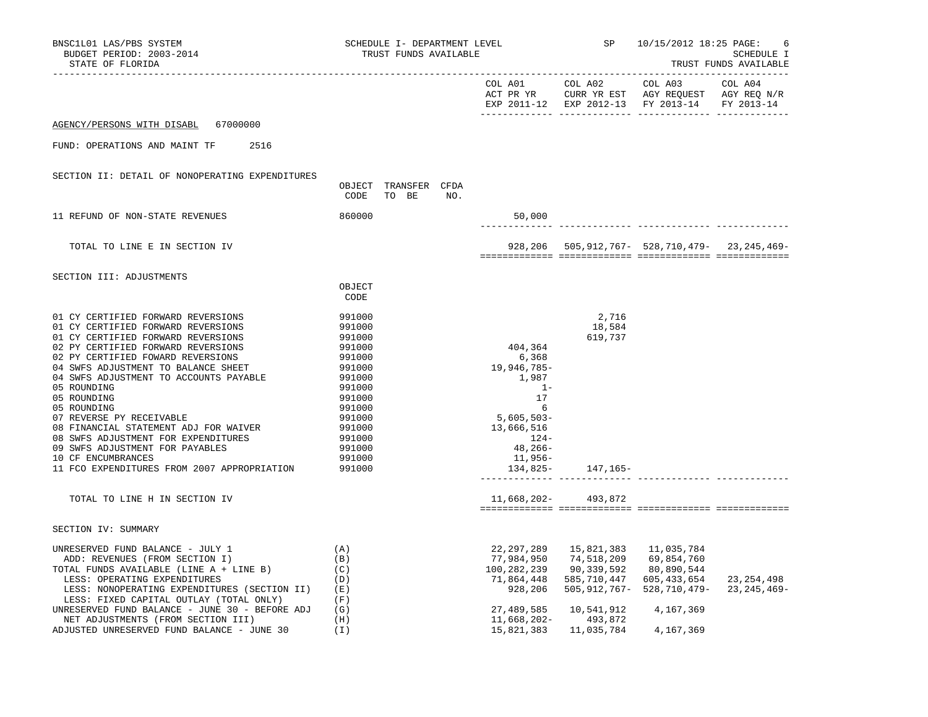| BNSC1L01 LAS/PBS SYSTEM<br>BUDGET PERIOD: 2003-2014<br>STATE OF FLORIDA                                                                                                                                                                                                                                                                                                                                                                                                                                                                                                      |                                                                                                                                                              | SCHEDULE I- DEPARTMENT LEVEL<br>TRUST FUNDS AVAILABLE |  |     |                                                                                                                                                                           | SP                                                                                                                       | 10/15/2012 18:25 PAGE:<br>6<br>SCHEDULE I<br>TRUST FUNDS AVAILABLE                                                    |              |  |
|------------------------------------------------------------------------------------------------------------------------------------------------------------------------------------------------------------------------------------------------------------------------------------------------------------------------------------------------------------------------------------------------------------------------------------------------------------------------------------------------------------------------------------------------------------------------------|--------------------------------------------------------------------------------------------------------------------------------------------------------------|-------------------------------------------------------|--|-----|---------------------------------------------------------------------------------------------------------------------------------------------------------------------------|--------------------------------------------------------------------------------------------------------------------------|-----------------------------------------------------------------------------------------------------------------------|--------------|--|
|                                                                                                                                                                                                                                                                                                                                                                                                                                                                                                                                                                              |                                                                                                                                                              |                                                       |  |     |                                                                                                                                                                           | COL A01 COL A02                                                                                                          | COL A03<br>ACT PR YR CURR YR EST AGY REQUEST AGY REQ N/R<br>EXP 2011-12 EXP 2012-13 FY 2013-14 FY 2013-14             | COL A04      |  |
| AGENCY/PERSONS WITH DISABL 67000000                                                                                                                                                                                                                                                                                                                                                                                                                                                                                                                                          |                                                                                                                                                              |                                                       |  |     |                                                                                                                                                                           |                                                                                                                          |                                                                                                                       |              |  |
| FUND: OPERATIONS AND MAINT TF<br>2516                                                                                                                                                                                                                                                                                                                                                                                                                                                                                                                                        |                                                                                                                                                              |                                                       |  |     |                                                                                                                                                                           |                                                                                                                          |                                                                                                                       |              |  |
| SECTION II: DETAIL OF NONOPERATING EXPENDITURES                                                                                                                                                                                                                                                                                                                                                                                                                                                                                                                              | OBJECT TRANSFER CFDA<br>CODE TO BE                                                                                                                           |                                                       |  | NO. |                                                                                                                                                                           |                                                                                                                          |                                                                                                                       |              |  |
| 11 REFUND OF NON-STATE REVENUES                                                                                                                                                                                                                                                                                                                                                                                                                                                                                                                                              | 860000                                                                                                                                                       |                                                       |  |     | 50,000                                                                                                                                                                    |                                                                                                                          | ----------- --------------                                                                                            |              |  |
| TOTAL TO LINE E IN SECTION IV                                                                                                                                                                                                                                                                                                                                                                                                                                                                                                                                                |                                                                                                                                                              |                                                       |  |     |                                                                                                                                                                           |                                                                                                                          | 928, 206  505, 912, 767 - 528, 710, 479 - 23, 245, 469 -                                                              |              |  |
| SECTION III: ADJUSTMENTS                                                                                                                                                                                                                                                                                                                                                                                                                                                                                                                                                     | OBJECT<br>CODE                                                                                                                                               |                                                       |  |     |                                                                                                                                                                           |                                                                                                                          |                                                                                                                       |              |  |
| 01 CY CERTIFIED FORWARD REVERSIONS<br>01 CY CERTIFIED FORWARD REVERSIONS<br>01 CY CERTIFIED FORWARD REVERSIONS<br>02 PY CERTIFIED FORWARD REVERSIONS<br>02 PY CERTIFIED FOWARD REVERSIONS<br>04 SWFS ADJUSTMENT TO BALANCE SHEET<br>04 SWFS ADJUSTMENT TO ACCOUNTS PAYABLE<br>05 ROUNDING<br>05 ROUNDING<br>05 ROUNDING<br>07 REVERSE PY RECEIVABLE<br>08 FINANCIAL STATEMENT ADJ FOR WAIVER<br>08 SWFS ADJUSTMENT FOR EXPENDITURES<br>09 SWFS ADJUSTMENT FOR PAYABLES<br>10 CF ENCUMBRANCES<br>11 FCO EXPENDITURES FROM 2007 APPROPRIATION<br>TOTAL TO LINE H IN SECTION IV | 991000<br>991000<br>991000<br>991000<br>991000<br>991000<br>991000<br>991000<br>991000<br>991000<br>991000<br>991000<br>991000<br>991000<br>991000<br>991000 |                                                       |  |     | 404,364<br>6,368<br>19,946,785-<br>1,987<br>$1 -$<br>17<br>6<br>$5,605,503-$<br>13,666,516<br>$124-$<br>48,266-<br>11,956–<br>134,825-<br>_______________________________ | 2,716<br>18,584<br>619,737<br>147,165–<br>11,668,202-493,872                                                             |                                                                                                                       |              |  |
| SECTION IV: SUMMARY                                                                                                                                                                                                                                                                                                                                                                                                                                                                                                                                                          |                                                                                                                                                              |                                                       |  |     |                                                                                                                                                                           |                                                                                                                          |                                                                                                                       |              |  |
| UNRESERVED FUND BALANCE - JULY 1<br>ADD: REVENUES (FROM SECTION I)<br>TOTAL FUNDS AVAILABLE (LINE A + LINE B)<br>LESS: OPERATING EXPENDITURES<br>LESS: NONOPERATING EXPENDITURES (SECTION II)<br>LESS: FIXED CAPITAL OUTLAY (TOTAL ONLY)<br>UNRESERVED FUND BALANCE - JUNE 30 - BEFORE ADJ<br>NET ADJUSTMENTS (FROM SECTION III)<br>ADJUSTED UNRESERVED FUND BALANCE - JUNE 30                                                                                                                                                                                               | (A)<br>(B)<br>(C)<br>(D)<br>(E)<br>(F)<br>(G)<br>(H)<br>(I)                                                                                                  |                                                       |  |     | 22,297,289<br>77,984,950<br>100,282,239<br>71,864,448<br>928,206<br>27,489,585<br>11,668,202-                                                                             | 15,821,383    11,035,784<br>74,518,209<br>90,339,592<br>585,710,447<br>10,541,912<br>493,872<br>15,821,383    11,035,784 | 69,854,760<br>80,890,544<br>605, 433, 654<br>505, 912, 767 - 528, 710, 479 - 23, 245, 469 -<br>4,167,369<br>4,167,369 | 23, 254, 498 |  |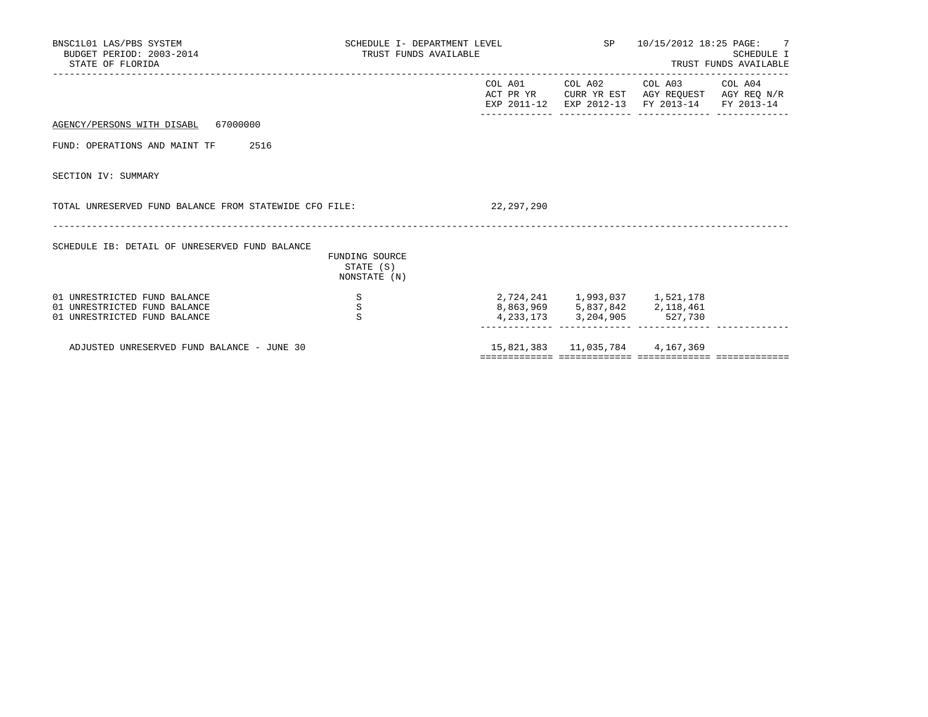| BNSC1L01 LAS/PBS SYSTEM<br>BUDGET PERIOD: 2003-2014<br>STATE OF FLORIDA                      |                                             | SCHEDULE I- DEPARTMENT LEVEL<br>TRUST FUNDS AVAILABLE |                               | SP 10/15/2012 18:25 PAGE: 7<br><b>SCHEDULE I</b><br>TRUST FUNDS AVAILABLE                                                 |  |  |
|----------------------------------------------------------------------------------------------|---------------------------------------------|-------------------------------------------------------|-------------------------------|---------------------------------------------------------------------------------------------------------------------------|--|--|
|                                                                                              |                                             | COL A01                                               |                               | COL A02 COL A03 COL A04<br>ACT PR YR CURR YR EST AGY REQUEST AGY REQ N/R<br>EXP 2011-12 EXP 2012-13 FY 2013-14 FY 2013-14 |  |  |
| AGENCY/PERSONS WITH DISABL 67000000                                                          |                                             |                                                       |                               |                                                                                                                           |  |  |
| 2516<br>FUND: OPERATIONS AND MAINT TF                                                        |                                             |                                                       |                               |                                                                                                                           |  |  |
| SECTION IV: SUMMARY                                                                          |                                             |                                                       |                               |                                                                                                                           |  |  |
| TOTAL UNRESERVED FUND BALANCE FROM STATEWIDE CFO FILE:                                       |                                             | 22,297,290                                            |                               |                                                                                                                           |  |  |
| SCHEDULE IB: DETAIL OF UNRESERVED FUND BALANCE                                               | FUNDING SOURCE<br>STATE (S)<br>NONSTATE (N) |                                                       |                               |                                                                                                                           |  |  |
| 01 UNRESTRICTED FUND BALANCE<br>01 UNRESTRICTED FUND BALANCE<br>01 UNRESTRICTED FUND BALANCE | S<br>$\, \mathbb{S} \,$<br>$\mathbf{s}$     |                                                       | 8,863,969 5,837,842 2,118,461 | 2,724,241 1,993,037 1,521,178<br>4, 233, 173 3, 204, 905 527, 730                                                         |  |  |
| ADJUSTED UNRESERVED FUND BALANCE - JUNE 30                                                   |                                             |                                                       |                               | 15,821,383   11,035,784   4,167,369                                                                                       |  |  |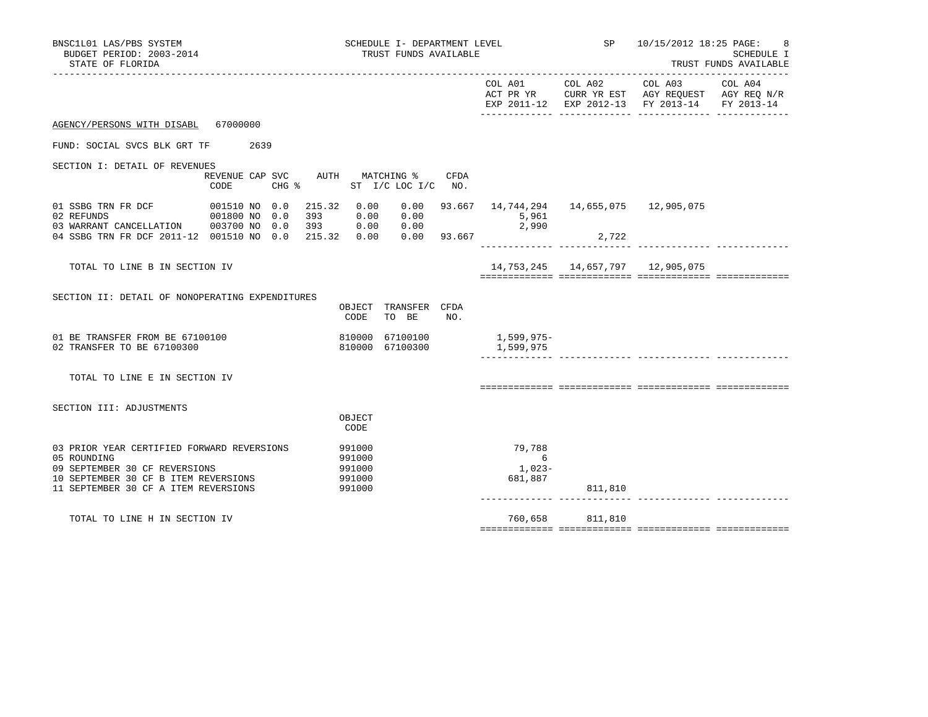| BNSC1L01 LAS/PBS SYSTEM<br>BUDGET PERIOD: 2003-2014<br>STATE OF FLORIDA                                                                                                    |                                            |                                                | SCHEDULE I- DEPARTMENT LEVEL<br>TRUST FUNDS AVAILABLE |     |                                                                  | SP <sub>3</sub>                        | 10/15/2012 18:25 PAGE:                                                                                                    | SCHEDULE I<br>TRUST FUNDS AVAILABLE |
|----------------------------------------------------------------------------------------------------------------------------------------------------------------------------|--------------------------------------------|------------------------------------------------|-------------------------------------------------------|-----|------------------------------------------------------------------|----------------------------------------|---------------------------------------------------------------------------------------------------------------------------|-------------------------------------|
|                                                                                                                                                                            |                                            |                                                |                                                       |     |                                                                  |                                        | COL A01 COL A02 COL A03<br>ACT PR YR CURR YR EST AGY REQUEST AGY REQ N/R<br>EXP 2011-12 EXP 2012-13 FY 2013-14 FY 2013-14 | COL A04                             |
| AGENCY/PERSONS WITH DISABL 67000000                                                                                                                                        |                                            |                                                |                                                       |     |                                                                  |                                        |                                                                                                                           |                                     |
| FUND: SOCIAL SVCS BLK GRT TF 2639                                                                                                                                          |                                            |                                                |                                                       |     |                                                                  |                                        |                                                                                                                           |                                     |
| SECTION I: DETAIL OF REVENUES                                                                                                                                              | REVENUE CAP SVC<br>$CHG$ $\approx$<br>CODE |                                                | AUTH MATCHING % CFDA<br>ST I/C LOC I/C NO.            |     |                                                                  |                                        |                                                                                                                           |                                     |
| 01 SSBG TRN FR DCF<br>02 REFUNDS                                                                                                                                           | 001510 NO 0.0<br>001800 NO 0.0<br>393      | 215.32 0.00<br>0.00                            | 0.00                                                  |     | $0.00$ 93.667 14,744,294 14,655,075 12,905,075<br>5,961<br>2,990 |                                        |                                                                                                                           |                                     |
| 04 SSBG TRN FR DCF 2011-12 001510 NO 0.0 215.32 0.00 0.00 93.667                                                                                                           |                                            |                                                |                                                       |     |                                                                  | 2,722                                  |                                                                                                                           |                                     |
| TOTAL TO LINE B IN SECTION IV                                                                                                                                              |                                            |                                                |                                                       |     |                                                                  | 14, 753, 245 14, 657, 797 12, 905, 075 |                                                                                                                           |                                     |
| SECTION II: DETAIL OF NONOPERATING EXPENDITURES                                                                                                                            |                                            | CODE                                           | OBJECT TRANSFER CFDA<br>TO BE                         | NO. |                                                                  |                                        |                                                                                                                           |                                     |
| 01 BE TRANSFER FROM BE 67100100<br>02 TRANSFER TO BE 67100300                                                                                                              |                                            |                                                | 810000 67100300                                       |     | 810000 67100100 1,599,975-<br>1,599,975                          |                                        |                                                                                                                           |                                     |
| TOTAL TO LINE E IN SECTION IV                                                                                                                                              |                                            |                                                |                                                       |     |                                                                  |                                        |                                                                                                                           |                                     |
|                                                                                                                                                                            |                                            |                                                |                                                       |     |                                                                  |                                        |                                                                                                                           |                                     |
| SECTION III: ADJUSTMENTS                                                                                                                                                   |                                            | OBJECT<br>CODE                                 |                                                       |     |                                                                  |                                        |                                                                                                                           |                                     |
| 03 PRIOR YEAR CERTIFIED FORWARD REVERSIONS<br>05 ROUNDING<br>09 SEPTEMBER 30 CF REVERSIONS<br>10 SEPTEMBER 30 CF B ITEM REVERSIONS<br>11 SEPTEMBER 30 CF A ITEM REVERSIONS |                                            | 991000<br>991000<br>991000<br>991000<br>991000 |                                                       |     | 79,788<br>$6\overline{6}$<br>1,023-<br>681,887                   | 811,810                                |                                                                                                                           |                                     |
| TOTAL TO LINE H IN SECTION IV                                                                                                                                              |                                            |                                                |                                                       |     |                                                                  | 760,658 811,810                        |                                                                                                                           |                                     |